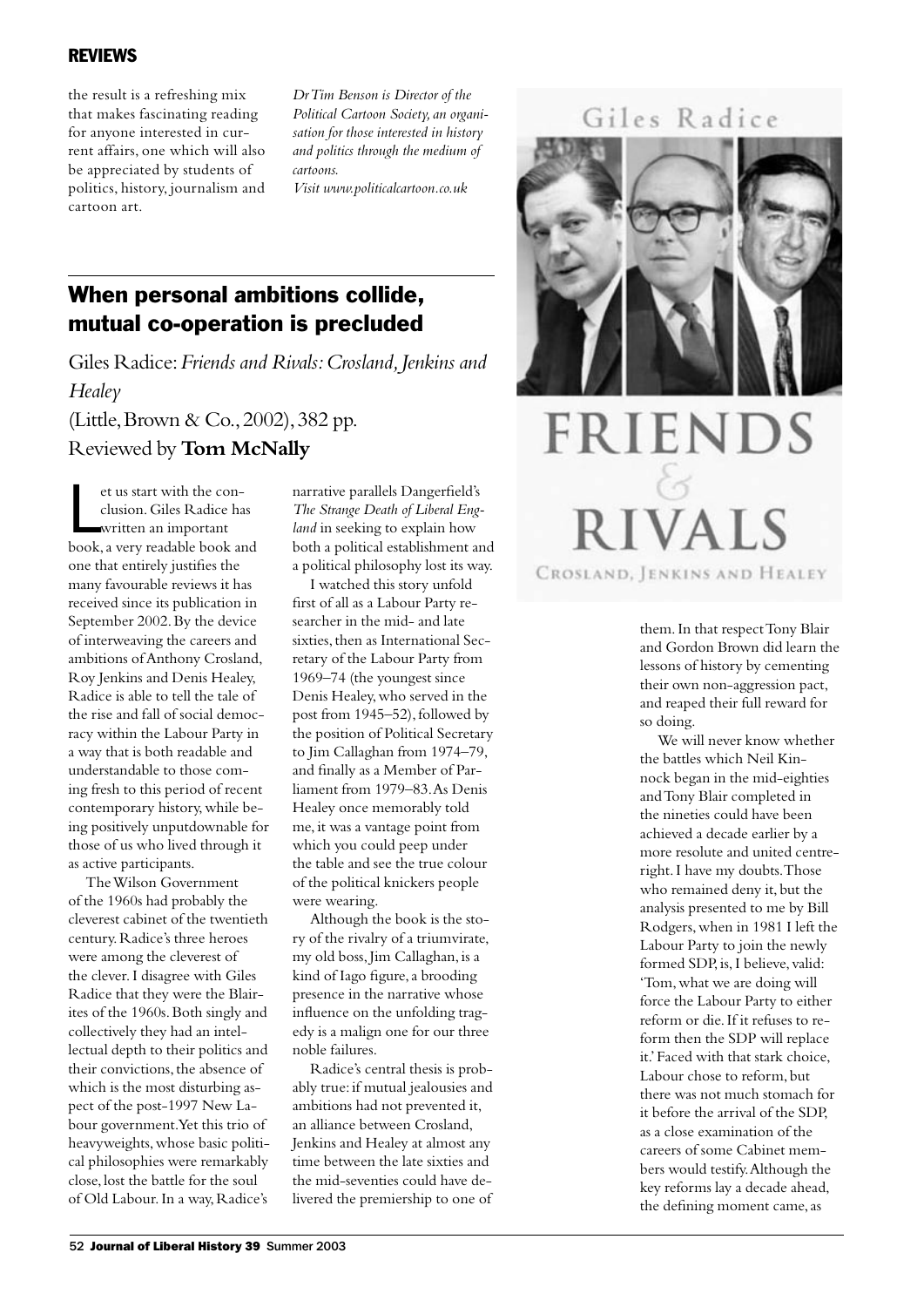## REVIEWS

the result is a refreshing mix that makes fascinating reading for anyone interested in current affairs, one which will also be appreciated by students of politics, history, journalism and cartoon art.

*Dr Tim Benson is Director of the Political Cartoon Society, an organisation for those interested in history and politics through the medium of cartoons.* 

*Visit www.politicalcartoon.co.uk*

## When personal ambitions collide, mutual co-operation is precluded

Giles Radice: *Friends and Rivals: Crosland, Jenkins and Healey* (Little, Brown & Co., 2002), 382 pp. Reviewed by **Tom McNally** 

et us start with the conclusion. Giles Radice has<br>written an important<br>book, a very readable book and et us start with the conclusion. Giles Radice has written an important one that entirely justifies the many favourable reviews it has received since its publication in September 2002. By the device of interweaving the careers and ambitions of Anthony Crosland, Roy Jenkins and Denis Healey, Radice is able to tell the tale of the rise and fall of social democracy within the Labour Party in a way that is both readable and understandable to those coming fresh to this period of recent contemporary history, while being positively unputdownable for those of us who lived through it as active participants.

The Wilson Government of the 1960s had probably the cleverest cabinet of the twentieth century. Radice's three heroes were among the cleverest of the clever. I disagree with Giles Radice that they were the Blairites of the 1960s. Both singly and collectively they had an intellectual depth to their politics and their convictions, the absence of which is the most disturbing aspect of the post-1997 New Labour government. Yet this trio of heavyweights, whose basic political philosophies were remarkably close, lost the battle for the soul of Old Labour. In a way, Radice's

narrative parallels Dangerfield's *The Strange Death of Liberal England* in seeking to explain how both a political establishment and a political philosophy lost its way.

I watched this story unfold first of all as a Labour Party researcher in the mid- and late sixties, then as International Secretary of the Labour Party from 1969–74 (the youngest since Denis Healey, who served in the post from 1945–52), followed by the position of Political Secretary to Jim Callaghan from 1974–79, and finally as a Member of Parliament from 1979–83. As Denis Healey once memorably told me, it was a vantage point from which you could peep under the table and see the true colour of the political knickers people were wearing.

Although the book is the story of the rivalry of a triumvirate, my old boss, Jim Callaghan, is a kind of Iago figure, a brooding presence in the narrative whose influence on the unfolding tragedy is a malign one for our three noble failures.

Radice's central thesis is probably true: if mutual jealousies and ambitions had not prevented it, an alliance between Crosland, Jenkins and Healey at almost any time between the late sixties and the mid-seventies could have delivered the premiership to one of

Giles Radice



## **FRIENDS RIVALS** CROSLAND, JENKINS AND HEALEY

them. In that respect Tony Blair and Gordon Brown did learn the lessons of history by cementing their own non-aggression pact, and reaped their full reward for so doing.

We will never know whether the battles which Neil Kinnock began in the mid-eighties and Tony Blair completed in the nineties could have been achieved a decade earlier by a more resolute and united centreright. I have my doubts. Those who remained deny it, but the analysis presented to me by Bill Rodgers, when in 1981 I left the Labour Party to join the newly formed SDP, is, I believe, valid: 'Tom, what we are doing will force the Labour Party to either reform or die. If it refuses to reform then the SDP will replace it.' Faced with that stark choice, Labour chose to reform, but there was not much stomach for it before the arrival of the SDP, as a close examination of the careers of some Cabinet members would testify. Although the key reforms lay a decade ahead, the defining moment came, as